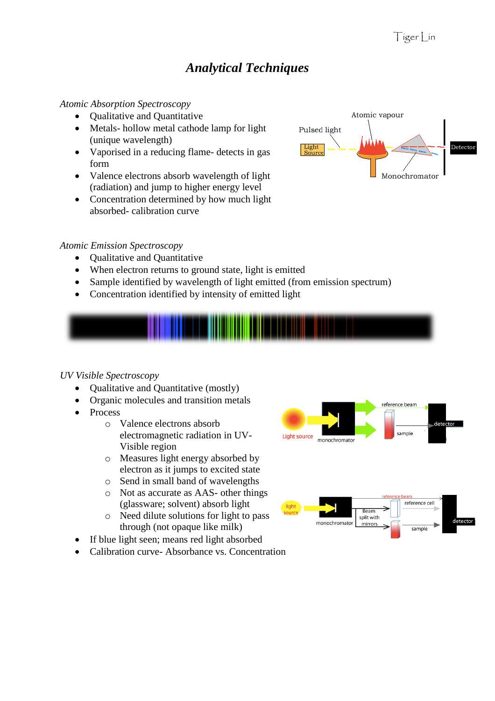# *Analytical Techniques*

#### *Atomic Absorption Spectroscopy*

- Oualitative and Ouantitative
- Metals- hollow metal cathode lamp for light (unique wavelength)
- Vaporised in a reducing flame- detects in gas form
- Valence electrons absorb wavelength of light (radiation) and jump to higher energy level
- Concentration determined by how much light absorbed- calibration curve

# Detector Light Monochromator

Atomic vapour

Pulsed light

#### *Atomic Emission Spectroscopy*

- Qualitative and Quantitative
- When electron returns to ground state, light is emitted
- Sample identified by wavelength of light emitted (from emission spectrum)
- Concentration identified by intensity of emitted light



# *UV Visible Spectroscopy*

- Qualitative and Quantitative (mostly)
- Organic molecules and transition metals
- Process
	- o Valence electrons absorb electromagnetic radiation in UV-Visible region
	- o Measures light energy absorbed by electron as it jumps to excited state
	- o Send in small band of wavelengths
	- o Not as accurate as AAS- other things (glassware; solvent) absorb light
	- o Need dilute solutions for light to pass through (not opaque like milk)
- If blue light seen; means red light absorbed
- Calibration curve- Absorbance vs. Concentration



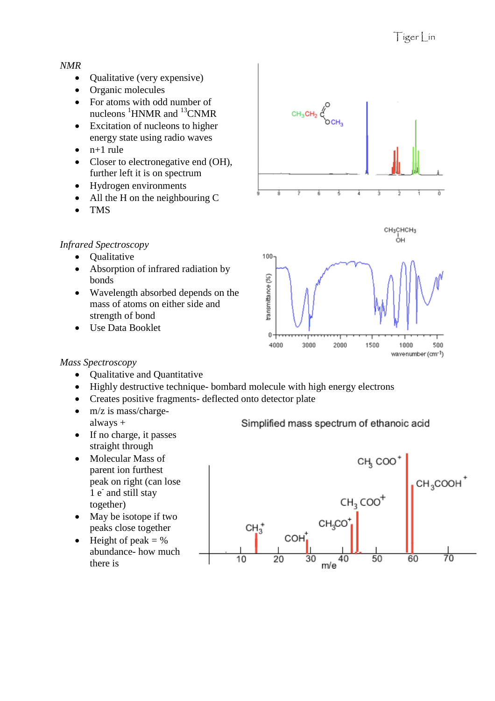#### *NMR*

- Qualitative (very expensive)
- Organic molecules
- For atoms with odd number of nucleons  ${}^{1}$ HNMR and  ${}^{13}$ CNMR
- Excitation of nucleons to higher energy state using radio waves
- $\bullet$  n+1 rule
- Closer to electronegative end (OH), further left it is on spectrum
- Hydrogen environments
- All the H on the neighbouring C
- TMS

# *Infrared Spectroscopy*

- Qualitative
- Absorption of infrared radiation by bonds
- Wavelength absorbed depends on the mass of atoms on either side and strength of bond
- Use Data Booklet



# *Mass Spectroscopy*

- Qualitative and Quantitative
- Highly destructive technique- bombard molecule with high energy electrons
- Creates positive fragments- deflected onto detector plate
- $\bullet$  m/z is mass/chargealways +
- $\bullet$  If no charge, it passes straight through
- Molecular Mass of parent ion furthest peak on right (can lose 1 e<sup>-</sup> and still stay together)
- May be isotope if two peaks close together
- $\bullet$  Height of peak = % abundance- how much there is

# Simplified mass spectrum of ethanoic acid